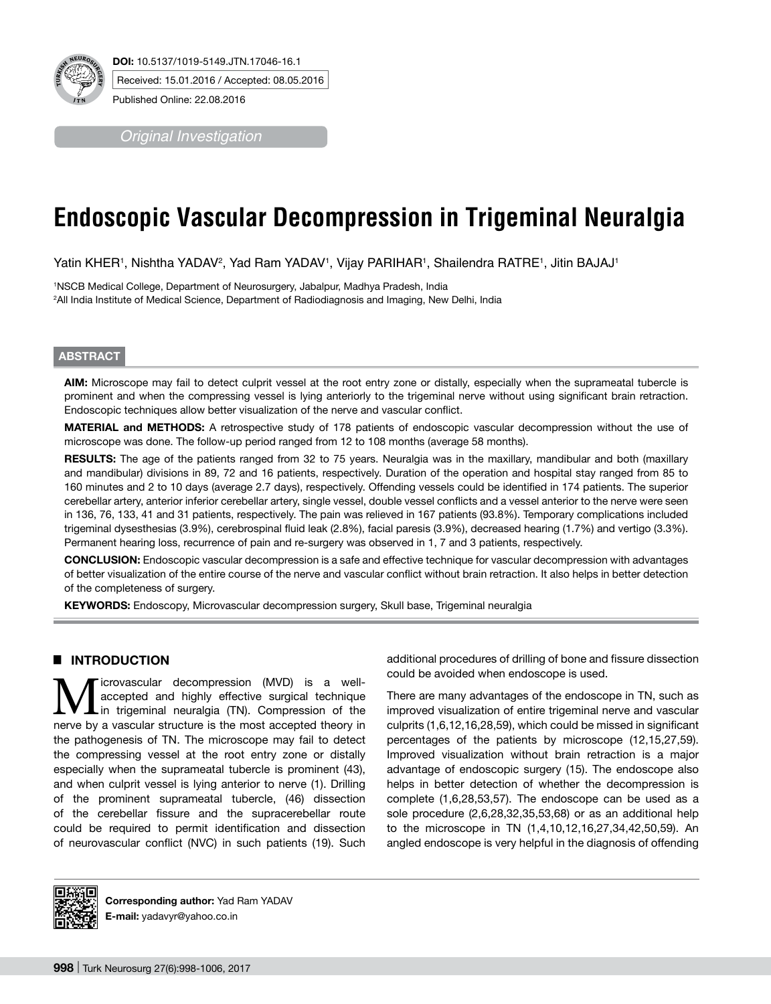

*Original Investigation*

# **Endoscopic Vascular Decompression in Trigeminal Neuralgia**

Yatin KHER', Nishtha YADAV², Yad Ram YADAV', Vijay PARIHAR', Shailendra RATRE', Jitin BAJAJ'

1 NSCB Medical College, Department of Neurosurgery, Jabalpur, Madhya Pradesh, India 2 All India Institute of Medical Science, Department of Radiodiagnosis and Imaging, New Delhi, India

## **ABSTRACT**

**AIm:** Microscope may fail to detect culprit vessel at the root entry zone or distally, especially when the suprameatal tubercle is prominent and when the compressing vessel is lying anteriorly to the trigeminal nerve without using significant brain retraction. Endoscopic techniques allow better visualization of the nerve and vascular conflict.

**MaterIal and Methods:** A retrospective study of 178 patients of endoscopic vascular decompression without the use of microscope was done. The follow-up period ranged from 12 to 108 months (average 58 months).

**RESULTS:** The age of the patients ranged from 32 to 75 years. Neuralgia was in the maxillary, mandibular and both (maxillary and mandibular) divisions in 89, 72 and 16 patients, respectively. Duration of the operation and hospital stay ranged from 85 to 160 minutes and 2 to 10 days (average 2.7 days), respectively. Offending vessels could be identified in 174 patients. The superior cerebellar artery, anterior inferior cerebellar artery, single vessel, double vessel conflicts and a vessel anterior to the nerve were seen in 136, 76, 133, 41 and 31 patients, respectively. The pain was relieved in 167 patients (93.8%). Temporary complications included trigeminal dysesthesias (3.9%), cerebrospinal fluid leak (2.8%), facial paresis (3.9%), decreased hearing (1.7%) and vertigo (3.3%). Permanent hearing loss, recurrence of pain and re-surgery was observed in 1, 7 and 3 patients, respectively.

**ConclusIon:** Endoscopic vascular decompression is a safe and effective technique for vascular decompression with advantages of better visualization of the entire course of the nerve and vascular conflict without brain retraction. It also helps in better detection of the completeness of surgery.

**KEYWORDS:** Endoscopy, Microvascular decompression surgery, Skull base, Trigeminal neuralgia

## █ **INTRODUCTION**

**M** icrovascular decompression (MVD) is a well-<br>in trigeminal neuralgia (TN). Compression of the<br>next accorded theory in accepted and highly effective surgical technique nerve by a vascular structure is the most accepted theory in the pathogenesis of TN. The microscope may fail to detect the compressing vessel at the root entry zone or distally especially when the suprameatal tubercle is prominent (43), and when culprit vessel is lying anterior to nerve (1). Drilling of the prominent suprameatal tubercle, (46) dissection of the cerebellar fissure and the supracerebellar route could be required to permit identification and dissection of neurovascular conflict (NVC) in such patients (19). Such

additional procedures of drilling of bone and fissure dissection could be avoided when endoscope is used.

There are many advantages of the endoscope in TN, such as improved visualization of entire trigeminal nerve and vascular culprits (1,6,12,16,28,59), which could be missed in significant percentages of the patients by microscope (12,15,27,59). Improved visualization without brain retraction is a major advantage of endoscopic surgery (15). The endoscope also helps in better detection of whether the decompression is complete (1,6,28,53,57). The endoscope can be used as a sole procedure (2,6,28,32,35,53,68) or as an additional help to the microscope in TN (1,4,10,12,16,27,34,42,50,59). An angled endoscope is very helpful in the diagnosis of offending



**Corresponding author:** Yad Ram YADAV **E-mail:** yadavyr@yahoo.co.in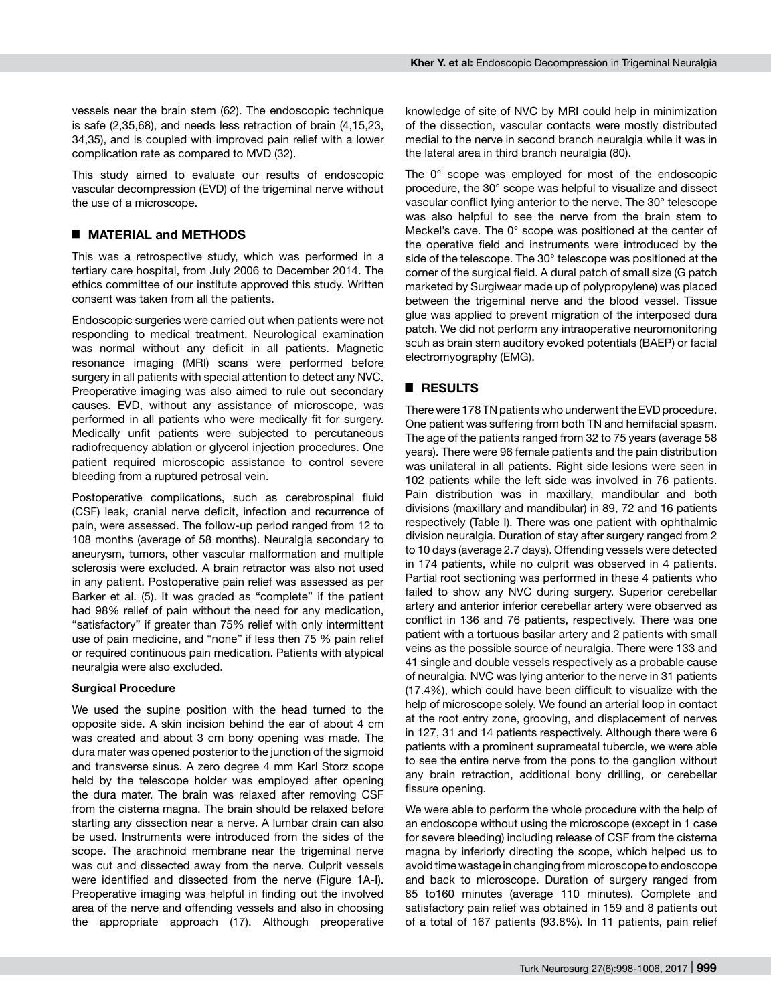vessels near the brain stem (62). The endoscopic technique is safe (2,35,68), and needs less retraction of brain (4,15,23, 34,35), and is coupled with improved pain relief with a lower complication rate as compared to MVD (32).

This study aimed to evaluate our results of endoscopic vascular decompression (EVD) of the trigeminal nerve without the use of a microscope.

## █ **MATERIAL and METHODS**

This was a retrospective study, which was performed in a tertiary care hospital, from July 2006 to December 2014. The ethics committee of our institute approved this study. Written consent was taken from all the patients.

Endoscopic surgeries were carried out when patients were not responding to medical treatment. Neurological examination was normal without any deficit in all patients. Magnetic resonance imaging (MRI) scans were performed before surgery in all patients with special attention to detect any NVC. Preoperative imaging was also aimed to rule out secondary causes. EVD, without any assistance of microscope, was performed in all patients who were medically fit for surgery. Medically unfit patients were subjected to percutaneous radiofrequency ablation or glycerol injection procedures. One patient required microscopic assistance to control severe bleeding from a ruptured petrosal vein.

Postoperative complications, such as cerebrospinal fluid (CSF) leak, cranial nerve deficit, infection and recurrence of pain, were assessed. The follow-up period ranged from 12 to 108 months (average of 58 months). Neuralgia secondary to aneurysm, tumors, other vascular malformation and multiple sclerosis were excluded. A brain retractor was also not used in any patient. Postoperative pain relief was assessed as per Barker et al. (5). It was graded as "complete" if the patient had 98% relief of pain without the need for any medication, "satisfactory" if greater than 75% relief with only intermittent use of pain medicine, and "none" if less then 75 % pain relief or required continuous pain medication. Patients with atypical neuralgia were also excluded.

#### **Surgical Procedure**

We used the supine position with the head turned to the opposite side. A skin incision behind the ear of about 4 cm was created and about 3 cm bony opening was made. The dura mater was opened posterior to the junction of the sigmoid and transverse sinus. A zero degree 4 mm Karl Storz scope held by the telescope holder was employed after opening the dura mater. The brain was relaxed after removing CSF from the cisterna magna. The brain should be relaxed before starting any dissection near a nerve. A lumbar drain can also be used. Instruments were introduced from the sides of the scope. The arachnoid membrane near the trigeminal nerve was cut and dissected away from the nerve. Culprit vessels were identified and dissected from the nerve (Figure 1A-I). Preoperative imaging was helpful in finding out the involved area of the nerve and offending vessels and also in choosing the appropriate approach (17). Although preoperative knowledge of site of NVC by MRI could help in minimization of the dissection, vascular contacts were mostly distributed medial to the nerve in second branch neuralgia while it was in the lateral area in third branch neuralgia (80).

The 0° scope was employed for most of the endoscopic procedure, the 30° scope was helpful to visualize and dissect vascular conflict lying anterior to the nerve. The 30° telescope was also helpful to see the nerve from the brain stem to Meckel's cave. The 0° scope was positioned at the center of the operative field and instruments were introduced by the side of the telescope. The 30° telescope was positioned at the corner of the surgical field. A dural patch of small size (G patch marketed by Surgiwear made up of polypropylene) was placed between the trigeminal nerve and the blood vessel. Tissue glue was applied to prevent migration of the interposed dura patch. We did not perform any intraoperative neuromonitoring scuh as brain stem auditory evoked potentials (BAEP) or facial electromyography (EMG).

## █ **RESULTS**

There were 178 TN patients who underwent the EVD procedure. One patient was suffering from both TN and hemifacial spasm. The age of the patients ranged from 32 to 75 years (average 58 years). There were 96 female patients and the pain distribution was unilateral in all patients. Right side lesions were seen in 102 patients while the left side was involved in 76 patients. Pain distribution was in maxillary, mandibular and both divisions (maxillary and mandibular) in 89, 72 and 16 patients respectively (Table I). There was one patient with ophthalmic division neuralgia. Duration of stay after surgery ranged from 2 to 10 days (average 2.7 days). Offending vessels were detected in 174 patients, while no culprit was observed in 4 patients. Partial root sectioning was performed in these 4 patients who failed to show any NVC during surgery. Superior cerebellar artery and anterior inferior cerebellar artery were observed as conflict in 136 and 76 patients, respectively. There was one patient with a tortuous basilar artery and 2 patients with small veins as the possible source of neuralgia. There were 133 and 41 single and double vessels respectively as a probable cause of neuralgia. NVC was lying anterior to the nerve in 31 patients (17.4%), which could have been difficult to visualize with the help of microscope solely. We found an arterial loop in contact at the root entry zone, grooving, and displacement of nerves in 127, 31 and 14 patients respectively. Although there were 6 patients with a prominent suprameatal tubercle, we were able to see the entire nerve from the pons to the ganglion without any brain retraction, additional bony drilling, or cerebellar fissure opening.

We were able to perform the whole procedure with the help of an endoscope without using the microscope (except in 1 case for severe bleeding) including release of CSF from the cisterna magna by inferiorly directing the scope, which helped us to avoid time wastage in changing from microscope to endoscope and back to microscope. Duration of surgery ranged from 85 to160 minutes (average 110 minutes). Complete and satisfactory pain relief was obtained in 159 and 8 patients out of a total of 167 patients (93.8%). In 11 patients, pain relief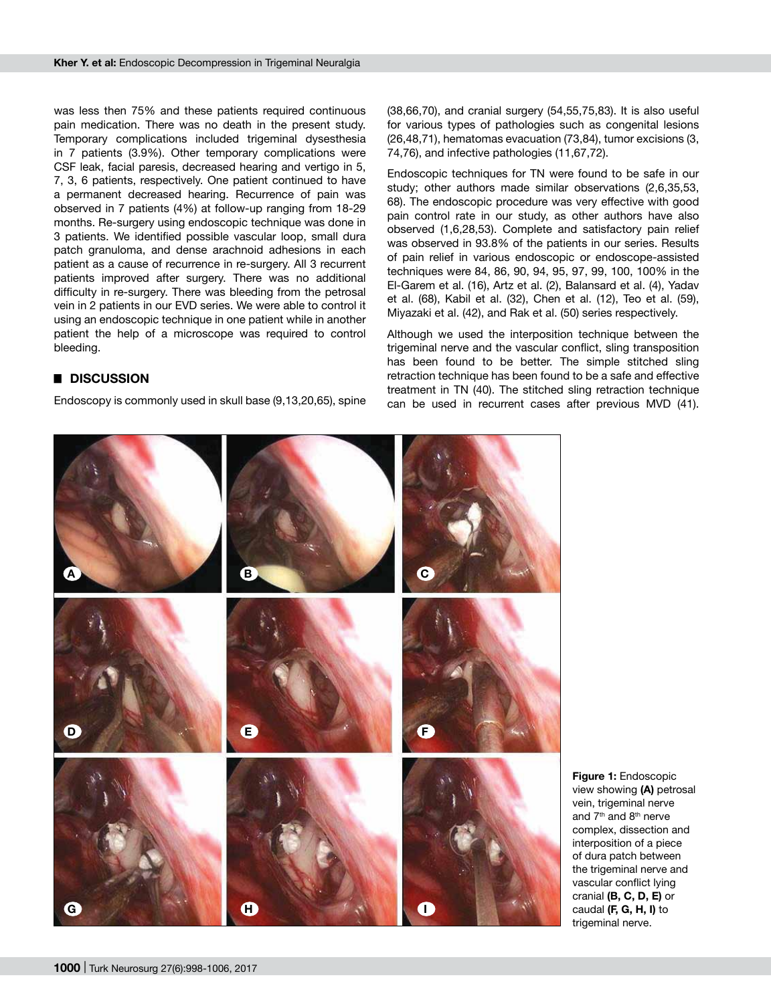was less then 75% and these patients required continuous pain medication. There was no death in the present study. Temporary complications included trigeminal dysesthesia in 7 patients (3.9%). Other temporary complications were CSF leak, facial paresis, decreased hearing and vertigo in 5, 7, 3, 6 patients, respectively. One patient continued to have a permanent decreased hearing. Recurrence of pain was observed in 7 patients (4%) at follow-up ranging from 18-29 months. Re-surgery using endoscopic technique was done in 3 patients. We identified possible vascular loop, small dura patch granuloma, and dense arachnoid adhesions in each patient as a cause of recurrence in re-surgery. All 3 recurrent patients improved after surgery. There was no additional difficulty in re-surgery. There was bleeding from the petrosal vein in 2 patients in our EVD series. We were able to control it using an endoscopic technique in one patient while in another patient the help of a microscope was required to control bleeding.

# █ **DISCUSSION**

Endoscopy is commonly used in skull base (9,13,20,65), spine

(38,66,70), and cranial surgery (54,55,75,83). It is also useful for various types of pathologies such as congenital lesions (26,48,71), hematomas evacuation (73,84), tumor excisions (3, 74,76), and infective pathologies (11,67,72).

Endoscopic techniques for TN were found to be safe in our study; other authors made similar observations (2,6,35,53, 68). The endoscopic procedure was very effective with good pain control rate in our study, as other authors have also observed (1,6,28,53). Complete and satisfactory pain relief was observed in 93.8% of the patients in our series. Results of pain relief in various endoscopic or endoscope-assisted techniques were 84, 86, 90, 94, 95, 97, 99, 100, 100% in the El-Garem et al. (16), Artz et al. (2), Balansard et al. (4), Yadav et al. (68), Kabil et al. (32), Chen et al. (12), Teo et al. (59), Miyazaki et al. (42), and Rak et al. (50) series respectively.

Although we used the interposition technique between the trigeminal nerve and the vascular conflict, sling transposition has been found to be better. The simple stitched sling retraction technique has been found to be a safe and effective treatment in TN (40). The stitched sling retraction technique can be used in recurrent cases after previous MVD (41).



**Figure 1:** Endoscopic view showing **(A)** petrosal vein, trigeminal nerve and 7th and 8th nerve complex, dissection and interposition of a piece of dura patch between the trigeminal nerve and vascular conflict lying cranial **(B, C, D, E)** or caudal **(F, G, H, I)** to trigeminal nerve.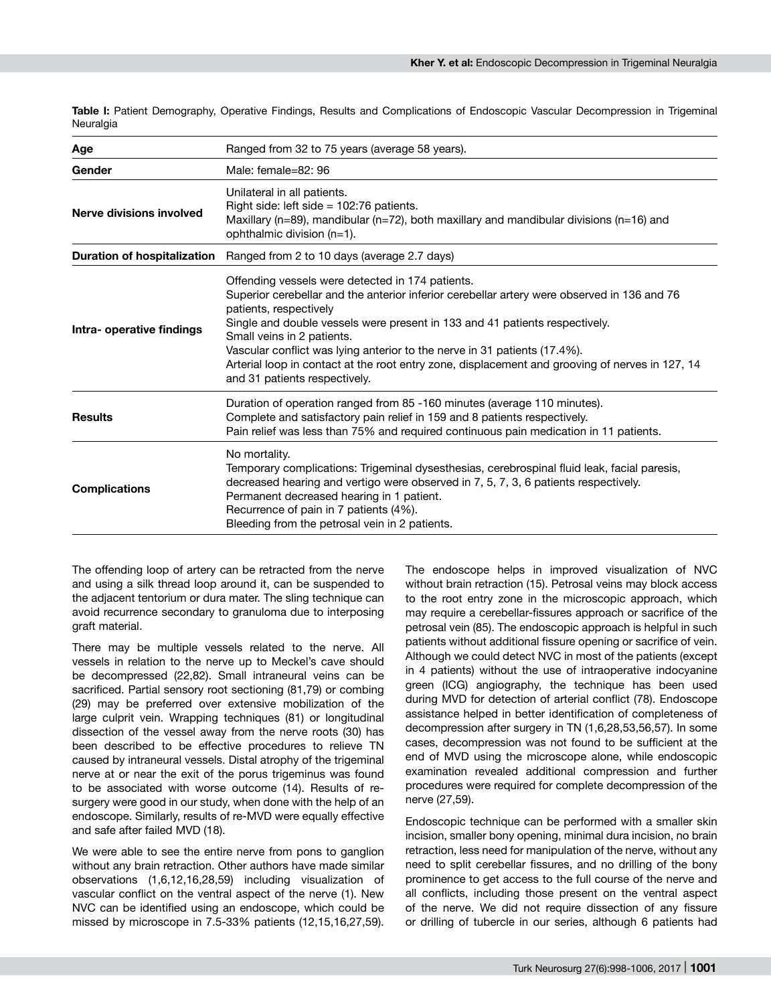**Table I:** Patient Demography, Operative Findings, Results and Complications of Endoscopic Vascular Decompression in Trigeminal Neuralgia

| Age                                | Ranged from 32 to 75 years (average 58 years).                                                                                                                                                                                                                                                                                                                                                                                                                                                          |
|------------------------------------|---------------------------------------------------------------------------------------------------------------------------------------------------------------------------------------------------------------------------------------------------------------------------------------------------------------------------------------------------------------------------------------------------------------------------------------------------------------------------------------------------------|
| Gender                             | Male: female=82: 96                                                                                                                                                                                                                                                                                                                                                                                                                                                                                     |
| Nerve divisions involved           | Unilateral in all patients.<br>Right side: left side = $102:76$ patients.<br>Maxillary ( $n=89$ ), mandibular ( $n=72$ ), both maxillary and mandibular divisions ( $n=16$ ) and<br>ophthalmic division (n=1).                                                                                                                                                                                                                                                                                          |
| <b>Duration of hospitalization</b> | Ranged from 2 to 10 days (average 2.7 days)                                                                                                                                                                                                                                                                                                                                                                                                                                                             |
| Intra- operative findings          | Offending vessels were detected in 174 patients.<br>Superior cerebellar and the anterior inferior cerebellar artery were observed in 136 and 76<br>patients, respectively<br>Single and double vessels were present in 133 and 41 patients respectively.<br>Small veins in 2 patients.<br>Vascular conflict was lying anterior to the nerve in 31 patients (17.4%).<br>Arterial loop in contact at the root entry zone, displacement and grooving of nerves in 127, 14<br>and 31 patients respectively. |
| <b>Results</b>                     | Duration of operation ranged from 85 -160 minutes (average 110 minutes).<br>Complete and satisfactory pain relief in 159 and 8 patients respectively.<br>Pain relief was less than 75% and required continuous pain medication in 11 patients.                                                                                                                                                                                                                                                          |
| <b>Complications</b>               | No mortality.<br>Temporary complications: Trigeminal dysesthesias, cerebrospinal fluid leak, facial paresis,<br>decreased hearing and vertigo were observed in 7, 5, 7, 3, 6 patients respectively.<br>Permanent decreased hearing in 1 patient.<br>Recurrence of pain in 7 patients (4%).<br>Bleeding from the petrosal vein in 2 patients.                                                                                                                                                            |

The offending loop of artery can be retracted from the nerve and using a silk thread loop around it, can be suspended to the adjacent tentorium or dura mater. The sling technique can avoid recurrence secondary to granuloma due to interposing graft material.

There may be multiple vessels related to the nerve. All vessels in relation to the nerve up to Meckel's cave should be decompressed (22,82). Small intraneural veins can be sacrificed. Partial sensory root sectioning (81,79) or combing (29) may be preferred over extensive mobilization of the large culprit vein. Wrapping techniques (81) or longitudinal dissection of the vessel away from the nerve roots (30) has been described to be effective procedures to relieve TN caused by intraneural vessels. Distal atrophy of the trigeminal nerve at or near the exit of the porus trigeminus was found to be associated with worse outcome (14). Results of resurgery were good in our study, when done with the help of an endoscope. Similarly, results of re-MVD were equally effective and safe after failed MVD (18).

We were able to see the entire nerve from pons to ganglion without any brain retraction. Other authors have made similar observations (1,6,12,16,28,59) including visualization of vascular conflict on the ventral aspect of the nerve (1). New NVC can be identified using an endoscope, which could be missed by microscope in 7.5-33% patients (12,15,16,27,59).

The endoscope helps in improved visualization of NVC without brain retraction (15). Petrosal veins may block access to the root entry zone in the microscopic approach, which may require a cerebellar-fissures approach or sacrifice of the petrosal vein (85). The endoscopic approach is helpful in such patients without additional fissure opening or sacrifice of vein. Although we could detect NVC in most of the patients (except in 4 patients) without the use of intraoperative indocyanine green (ICG) angiography, the technique has been used during MVD for detection of arterial conflict (78). Endoscope assistance helped in better identification of completeness of decompression after surgery in TN (1,6,28,53,56,57). In some cases, decompression was not found to be sufficient at the end of MVD using the microscope alone, while endoscopic examination revealed additional compression and further procedures were required for complete decompression of the nerve (27,59).

Endoscopic technique can be performed with a smaller skin incision, smaller bony opening, minimal dura incision, no brain retraction, less need for manipulation of the nerve, without any need to split cerebellar fissures, and no drilling of the bony prominence to get access to the full course of the nerve and all conflicts, including those present on the ventral aspect of the nerve. We did not require dissection of any fissure or drilling of tubercle in our series, although 6 patients had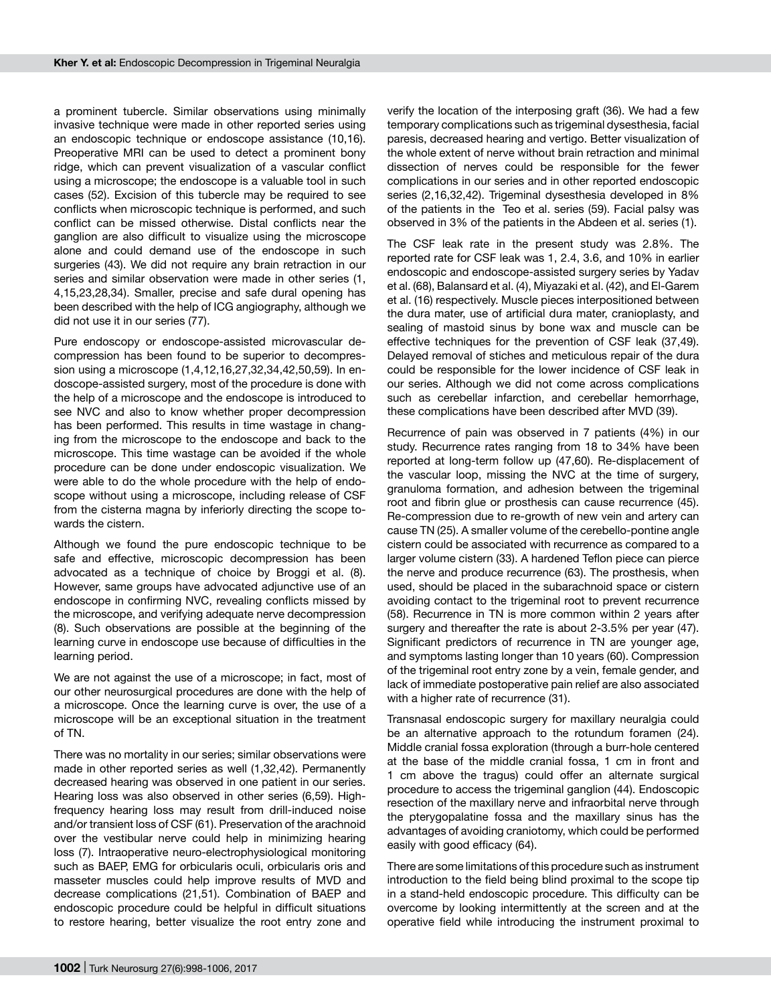a prominent tubercle. Similar observations using minimally invasive technique were made in other reported series using an endoscopic technique or endoscope assistance (10,16). Preoperative MRI can be used to detect a prominent bony ridge, which can prevent visualization of a vascular conflict using a microscope; the endoscope is a valuable tool in such cases (52). Excision of this tubercle may be required to see conflicts when microscopic technique is performed, and such conflict can be missed otherwise. Distal conflicts near the ganglion are also difficult to visualize using the microscope alone and could demand use of the endoscope in such surgeries (43). We did not require any brain retraction in our series and similar observation were made in other series (1, 4,15,23,28,34). Smaller, precise and safe dural opening has been described with the help of ICG angiography, although we did not use it in our series (77).

Pure endoscopy or endoscope-assisted microvascular decompression has been found to be superior to decompression using a microscope (1,4,12,16,27,32,34,42,50,59). In endoscope-assisted surgery, most of the procedure is done with the help of a microscope and the endoscope is introduced to see NVC and also to know whether proper decompression has been performed. This results in time wastage in changing from the microscope to the endoscope and back to the microscope. This time wastage can be avoided if the whole procedure can be done under endoscopic visualization. We were able to do the whole procedure with the help of endoscope without using a microscope, including release of CSF from the cisterna magna by inferiorly directing the scope towards the cistern.

Although we found the pure endoscopic technique to be safe and effective, microscopic decompression has been advocated as a technique of choice by Broggi et al. (8). However, same groups have advocated adjunctive use of an endoscope in confirming NVC, revealing conflicts missed by the microscope, and verifying adequate nerve decompression (8). Such observations are possible at the beginning of the learning curve in endoscope use because of difficulties in the learning period.

We are not against the use of a microscope; in fact, most of our other neurosurgical procedures are done with the help of a microscope. Once the learning curve is over, the use of a microscope will be an exceptional situation in the treatment of TN.

There was no mortality in our series; similar observations were made in other reported series as well (1,32,42). Permanently decreased hearing was observed in one patient in our series. Hearing loss was also observed in other series (6,59). Highfrequency hearing loss may result from drill-induced noise and/or transient loss of CSF (61). Preservation of the arachnoid over the vestibular nerve could help in minimizing hearing loss (7). Intraoperative neuro-electrophysiological monitoring such as BAEP, EMG for orbicularis oculi, orbicularis oris and masseter muscles could help improve results of MVD and decrease complications (21,51). Combination of BAEP and endoscopic procedure could be helpful in difficult situations to restore hearing, better visualize the root entry zone and

verify the location of the interposing graft (36). We had a few temporary complications such as trigeminal dysesthesia, facial paresis, decreased hearing and vertigo. Better visualization of the whole extent of nerve without brain retraction and minimal dissection of nerves could be responsible for the fewer complications in our series and in other reported endoscopic series (2,16,32,42). Trigeminal dysesthesia developed in 8% of the patients in the Teo et al. series (59). Facial palsy was observed in 3% of the patients in the Abdeen et al. series (1).

The CSF leak rate in the present study was 2.8%. The reported rate for CSF leak was 1, 2.4, 3.6, and 10% in earlier endoscopic and endoscope-assisted surgery series by Yadav et al. (68), Balansard et al. (4), Miyazaki et al. (42), and El-Garem et al. (16) respectively. Muscle pieces interpositioned between the dura mater, use of artificial dura mater, cranioplasty, and sealing of mastoid sinus by bone wax and muscle can be effective techniques for the prevention of CSF leak (37,49). Delayed removal of stiches and meticulous repair of the dura could be responsible for the lower incidence of CSF leak in our series. Although we did not come across complications such as cerebellar infarction, and cerebellar hemorrhage, these complications have been described after MVD (39).

Recurrence of pain was observed in 7 patients (4%) in our study. Recurrence rates ranging from 18 to 34% have been reported at long-term follow up (47,60). Re-displacement of the vascular loop, missing the NVC at the time of surgery, granuloma formation, and adhesion between the trigeminal root and fibrin glue or prosthesis can cause recurrence (45). Re-compression due to re-growth of new vein and artery can cause TN (25). A smaller volume of the cerebello-pontine angle cistern could be associated with recurrence as compared to a larger volume cistern (33). A hardened Teflon piece can pierce the nerve and produce recurrence (63). The prosthesis, when used, should be placed in the subarachnoid space or cistern avoiding contact to the trigeminal root to prevent recurrence (58). Recurrence in TN is more common within 2 years after surgery and thereafter the rate is about 2-3.5% per year (47). Significant predictors of recurrence in TN are younger age, and symptoms lasting longer than 10 years (60). Compression of the trigeminal root entry zone by a vein, female gender, and lack of immediate postoperative pain relief are also associated with a higher rate of recurrence (31).

Transnasal endoscopic surgery for maxillary neuralgia could be an alternative approach to the rotundum foramen (24). Middle cranial fossa exploration (through a burr-hole centered at the base of the middle cranial fossa, 1 cm in front and 1 cm above the tragus) could offer an alternate surgical procedure to access the trigeminal ganglion (44). Endoscopic resection of the maxillary nerve and infraorbital nerve through the pterygopalatine fossa and the maxillary sinus has the advantages of avoiding craniotomy, which could be performed easily with good efficacy (64).

There are some limitations of this procedure such as instrument introduction to the field being blind proximal to the scope tip in a stand-held endoscopic procedure. This difficulty can be overcome by looking intermittently at the screen and at the operative field while introducing the instrument proximal to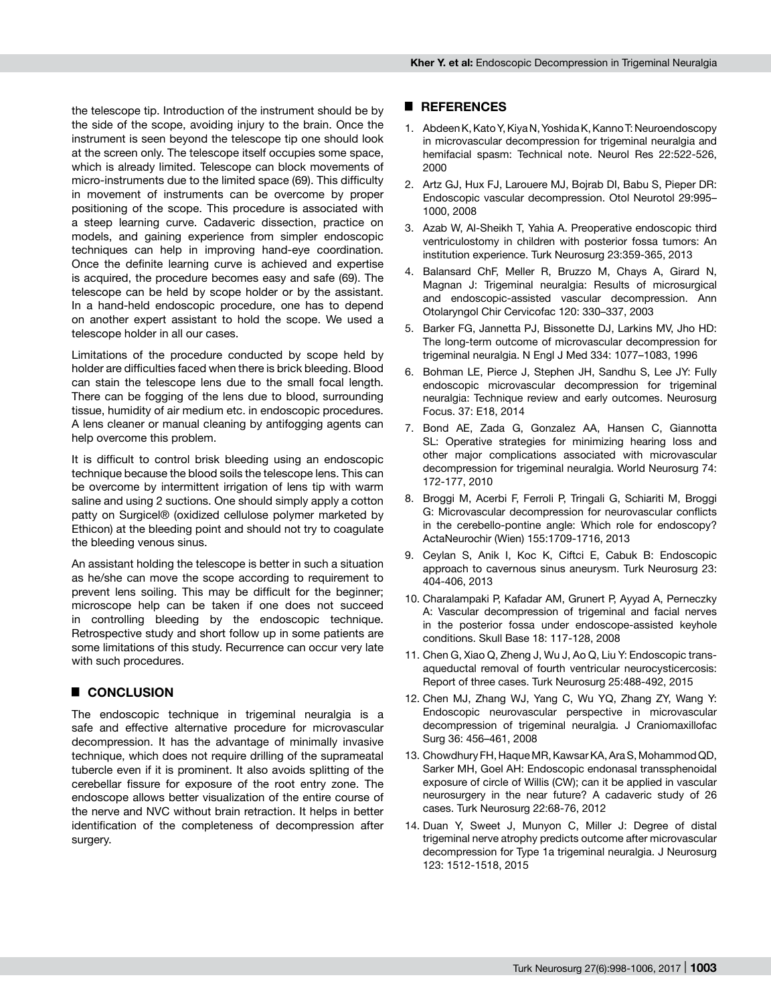the telescope tip. Introduction of the instrument should be by the side of the scope, avoiding injury to the brain. Once the instrument is seen beyond the telescope tip one should look at the screen only. The telescope itself occupies some space, which is already limited. Telescope can block movements of micro-instruments due to the limited space (69). This difficulty in movement of instruments can be overcome by proper positioning of the scope. This procedure is associated with a steep learning curve. Cadaveric dissection, practice on models, and gaining experience from simpler endoscopic techniques can help in improving hand-eye coordination. Once the definite learning curve is achieved and expertise is acquired, the procedure becomes easy and safe (69). The telescope can be held by scope holder or by the assistant. In a hand-held endoscopic procedure, one has to depend on another expert assistant to hold the scope. We used a telescope holder in all our cases.

Limitations of the procedure conducted by scope held by holder are difficulties faced when there is brick bleeding. Blood can stain the telescope lens due to the small focal length. There can be fogging of the lens due to blood, surrounding tissue, humidity of air medium etc. in endoscopic procedures. A lens cleaner or manual cleaning by antifogging agents can help overcome this problem.

It is difficult to control brisk bleeding using an endoscopic technique because the blood soils the telescope lens. This can be overcome by intermittent irrigation of lens tip with warm saline and using 2 suctions. One should simply apply a cotton patty on Surgicel® (oxidized cellulose polymer marketed by Ethicon) at the bleeding point and should not try to coagulate the bleeding venous sinus.

An assistant holding the telescope is better in such a situation as he/she can move the scope according to requirement to prevent lens soiling. This may be difficult for the beginner; microscope help can be taken if one does not succeed in controlling bleeding by the endoscopic technique. Retrospective study and short follow up in some patients are some limitations of this study. Recurrence can occur very late with such procedures.

## █ **CONCLUSION**

The endoscopic technique in trigeminal neuralgia is a safe and effective alternative procedure for microvascular decompression. It has the advantage of minimally invasive technique, which does not require drilling of the suprameatal tubercle even if it is prominent. It also avoids splitting of the cerebellar fissure for exposure of the root entry zone. The endoscope allows better visualization of the entire course of the nerve and NVC without brain retraction. It helps in better identification of the completeness of decompression after surgery.

## █ **REFERENCES**

- 1. Abdeen K, Kato Y, Kiya N, Yoshida K, Kanno T: Neuroendoscopy in microvascular decompression for trigeminal neuralgia and hemifacial spasm: Technical note. Neurol Res 22:522-526, 2000
- 2. Artz GJ, Hux FJ, Larouere MJ, Bojrab DI, Babu S, Pieper DR: Endoscopic vascular decompression. Otol Neurotol 29:995– 1000, 2008
- 3. Azab W, Al-Sheikh T, Yahia A. Preoperative endoscopic third ventriculostomy in children with posterior fossa tumors: An institution experience. Turk Neurosurg 23:359-365, 2013
- 4. Balansard ChF, Meller R, Bruzzo M, Chays A, Girard N, Magnan J: Trigeminal neuralgia: Results of microsurgical and endoscopic-assisted vascular decompression. Ann Otolaryngol Chir Cervicofac 120: 330–337, 2003
- 5. Barker FG, Jannetta PJ, Bissonette DJ, Larkins MV, Jho HD: The long-term outcome of microvascular decompression for trigeminal neuralgia. N Engl J Med 334: 1077–1083, 1996
- 6. Bohman LE, Pierce J, Stephen JH, Sandhu S, Lee JY: Fully endoscopic microvascular decompression for trigeminal neuralgia: Technique review and early outcomes. Neurosurg Focus. 37: E18, 2014
- 7. Bond AE, Zada G, Gonzalez AA, Hansen C, Giannotta SL: Operative strategies for minimizing hearing loss and other major complications associated with microvascular decompression for trigeminal neuralgia. World Neurosurg 74: 172-177, 2010
- 8. Broggi M, Acerbi F, Ferroli P, Tringali G, Schiariti M, Broggi G: Microvascular decompression for neurovascular conflicts in the cerebello-pontine angle: Which role for endoscopy? ActaNeurochir (Wien) 155:1709-1716, 2013
- 9. Ceylan S, Anik I, Koc K, Ciftci E, Cabuk B: Endoscopic approach to cavernous sinus aneurysm. Turk Neurosurg 23: 404-406, 2013
- 10. Charalampaki P, Kafadar AM, Grunert P, Ayyad A, Perneczky A: Vascular decompression of trigeminal and facial nerves in the posterior fossa under endoscope-assisted keyhole conditions. Skull Base 18: 117-128, 2008
- 11. Chen G, Xiao Q, Zheng J, Wu J, Ao Q, Liu Y: Endoscopic transaqueductal removal of fourth ventricular neurocysticercosis: Report of three cases. Turk Neurosurg 25:488-492, 2015
- 12. Chen MJ, Zhang WJ, Yang C, Wu YQ, Zhang ZY, Wang Y: Endoscopic neurovascular perspective in microvascular decompression of trigeminal neuralgia. J Craniomaxillofac Surg 36: 456–461, 2008
- 13. Chowdhury FH, Haque MR, Kawsar KA, Ara S, Mohammod QD, Sarker MH, Goel AH: Endoscopic endonasal transsphenoidal exposure of circle of Willis (CW); can it be applied in vascular neurosurgery in the near future? A cadaveric study of 26 cases. Turk Neurosurg 22:68-76, 2012
- 14. Duan Y, Sweet J, Munyon C, Miller J: Degree of distal trigeminal nerve atrophy predicts outcome after microvascular decompression for Type 1a trigeminal neuralgia. J Neurosurg 123: 1512-1518, 2015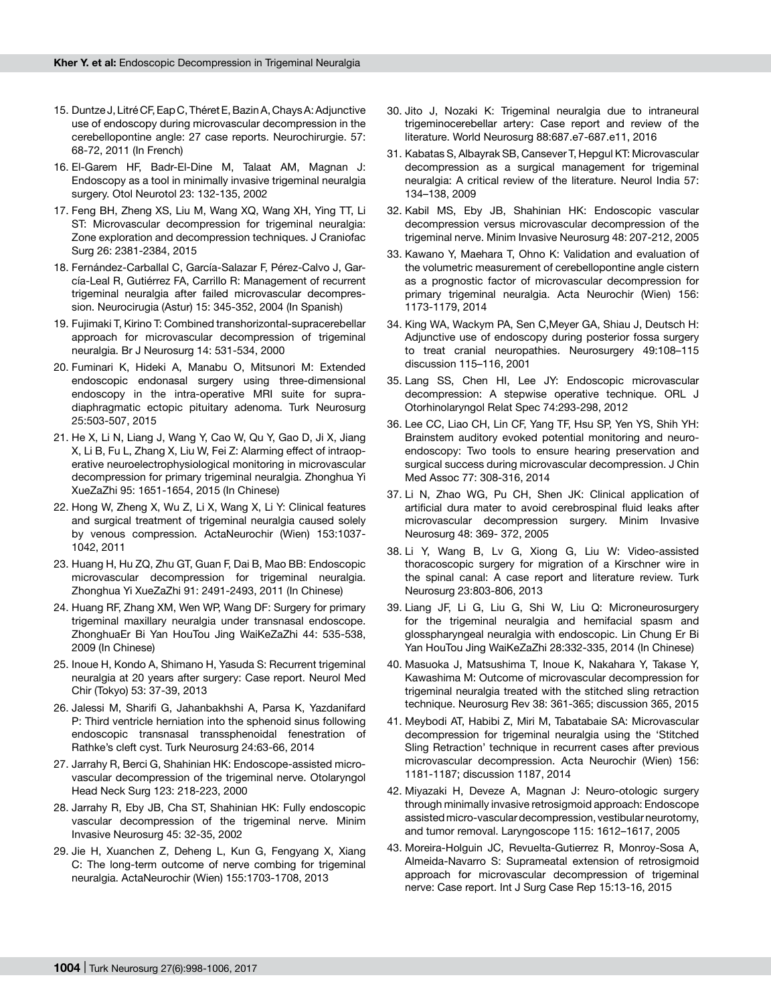- 15. Duntze J, Litré CF, Eap C, Théret E, Bazin A, Chays A: Adjunctive use of endoscopy during microvascular decompression in the cerebellopontine angle: 27 case reports. Neurochirurgie. 57: 68-72, 2011 (In French)
- 16. El-Garem HF, Badr-El-Dine M, Talaat AM, Magnan J: Endoscopy as a tool in minimally invasive trigeminal neuralgia surgery. Otol Neurotol 23: 132-135, 2002
- 17. Feng BH, Zheng XS, Liu M, Wang XQ, Wang XH, Ying TT, Li ST: Microvascular decompression for trigeminal neuralgia: Zone exploration and decompression techniques. J Craniofac Surg 26: 2381-2384, 2015
- 18. Fernández-Carballal C, García-Salazar F, Pérez-Calvo J, García-Leal R, Gutiérrez FA, Carrillo R: Management of recurrent trigeminal neuralgia after failed microvascular decompression. Neurocirugia (Astur) 15: 345-352, 2004 (In Spanish)
- 19. Fujimaki T, Kirino T: Combined transhorizontal-supracerebellar approach for microvascular decompression of trigeminal neuralgia. Br J Neurosurg 14: 531-534, 2000
- 20. Fuminari K, Hideki A, Manabu O, Mitsunori M: Extended endoscopic endonasal surgery using three-dimensional endoscopy in the intra-operative MRI suite for supradiaphragmatic ectopic pituitary adenoma. Turk Neurosurg 25:503-507, 2015
- 21. He X, Li N, Liang J, Wang Y, Cao W, Qu Y, Gao D, Ji X, Jiang X, Li B, Fu L, Zhang X, Liu W, Fei Z: Alarming effect of intraoperative neuroelectrophysiological monitoring in microvascular decompression for primary trigeminal neuralgia. Zhonghua Yi XueZaZhi 95: 1651-1654, 2015 (In Chinese)
- 22. Hong W, Zheng X, Wu Z, Li X, Wang X, Li Y: Clinical features and surgical treatment of trigeminal neuralgia caused solely by venous compression. ActaNeurochir (Wien) 153:1037- 1042, 2011
- 23. Huang H, Hu ZQ, Zhu GT, Guan F, Dai B, Mao BB: Endoscopic microvascular decompression for trigeminal neuralgia. Zhonghua Yi XueZaZhi 91: 2491-2493, 2011 (In Chinese)
- 24. Huang RF, Zhang XM, Wen WP, Wang DF: Surgery for primary trigeminal maxillary neuralgia under transnasal endoscope. ZhonghuaEr Bi Yan HouTou Jing WaiKeZaZhi 44: 535-538, 2009 (In Chinese)
- 25. Inoue H, Kondo A, Shimano H, Yasuda S: Recurrent trigeminal neuralgia at 20 years after surgery: Case report. Neurol Med Chir (Tokyo) 53: 37-39, 2013
- 26. Jalessi M, Sharifi G, Jahanbakhshi A, Parsa K, Yazdanifard P: Third ventricle herniation into the sphenoid sinus following endoscopic transnasal transsphenoidal fenestration of Rathke's cleft cyst. Turk Neurosurg 24:63-66, 2014
- 27. Jarrahy R, Berci G, Shahinian HK: Endoscope-assisted microvascular decompression of the trigeminal nerve. Otolaryngol Head Neck Surg 123: 218-223, 2000
- 28. Jarrahy R, Eby JB, Cha ST, Shahinian HK: Fully endoscopic vascular decompression of the trigeminal nerve. Minim Invasive Neurosurg 45: 32-35, 2002
- 29. Jie H, Xuanchen Z, Deheng L, Kun G, Fengyang X, Xiang C: The long-term outcome of nerve combing for trigeminal neuralgia. ActaNeurochir (Wien) 155:1703-1708, 2013
- 30. Jito J, Nozaki K: Trigeminal neuralgia due to intraneural trigeminocerebellar artery: Case report and review of the literature. World Neurosurg 88:687.e7-687.e11, 2016
- 31. Kabatas S, Albayrak SB, Cansever T, Hepgul KT: Microvascular decompression as a surgical management for trigeminal neuralgia: A critical review of the literature. Neurol India 57: 134–138, 2009
- 32. Kabil MS, Eby JB, Shahinian HK: Endoscopic vascular decompression versus microvascular decompression of the trigeminal nerve. Minim Invasive Neurosurg 48: 207-212, 2005
- 33. Kawano Y, Maehara T, Ohno K: Validation and evaluation of the volumetric measurement of cerebellopontine angle cistern as a prognostic factor of microvascular decompression for primary trigeminal neuralgia. Acta Neurochir (Wien) 156: 1173-1179, 2014
- 34. King WA, Wackym PA, Sen C,Meyer GA, Shiau J, Deutsch H: Adjunctive use of endoscopy during posterior fossa surgery to treat cranial neuropathies. Neurosurgery 49:108–115 discussion 115–116, 2001
- 35. Lang SS, Chen HI, Lee JY: Endoscopic microvascular decompression: A stepwise operative technique. ORL J Otorhinolaryngol Relat Spec 74:293-298, 2012
- 36. Lee CC, Liao CH, Lin CF, Yang TF, Hsu SP, Yen YS, Shih YH: Brainstem auditory evoked potential monitoring and neuroendoscopy: Two tools to ensure hearing preservation and surgical success during microvascular decompression. J Chin Med Assoc 77: 308-316, 2014
- 37. Li N, Zhao WG, Pu CH, Shen JK: Clinical application of artificial dura mater to avoid cerebrospinal fluid leaks after microvascular decompression surgery. Minim Invasive Neurosurg 48: 369- 372, 2005
- 38. Li Y, Wang B, Lv G, Xiong G, Liu W: Video-assisted thoracoscopic surgery for migration of a Kirschner wire in the spinal canal: A case report and literature review. Turk Neurosurg 23:803-806, 2013
- 39. Liang JF, Li G, Liu G, Shi W, Liu Q: Microneurosurgery for the trigeminal neuralgia and hemifacial spasm and glosspharyngeal neuralgia with endoscopic. Lin Chung Er Bi Yan HouTou Jing WaiKeZaZhi 28:332-335, 2014 (In Chinese)
- 40. Masuoka J, Matsushima T, Inoue K, Nakahara Y, Takase Y, Kawashima M: Outcome of microvascular decompression for trigeminal neuralgia treated with the stitched sling retraction technique. Neurosurg Rev 38: 361-365; discussion 365, 2015
- 41. Meybodi AT, Habibi Z, Miri M, Tabatabaie SA: Microvascular decompression for trigeminal neuralgia using the 'Stitched Sling Retraction' technique in recurrent cases after previous microvascular decompression. Acta Neurochir (Wien) 156: 1181-1187; discussion 1187, 2014
- 42. Miyazaki H, Deveze A, Magnan J: Neuro-otologic surgery through minimally invasive retrosigmoid approach: Endoscope assisted micro-vascular decompression, vestibular neurotomy, and tumor removal. Laryngoscope 115: 1612–1617, 2005
- 43. Moreira-Holguin JC, Revuelta-Gutierrez R, Monroy-Sosa A, Almeida-Navarro S: Suprameatal extension of retrosigmoid approach for microvascular decompression of trigeminal nerve: Case report. Int J Surg Case Rep 15:13-16, 2015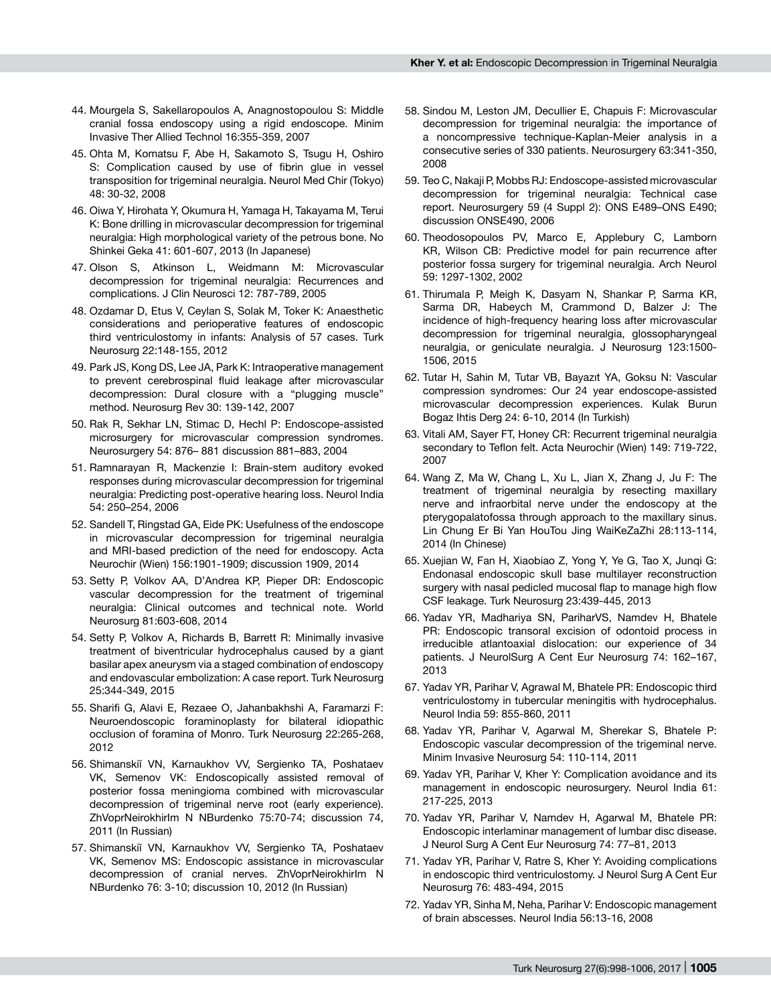- 44. Mourgela S, Sakellaropoulos A, Anagnostopoulou S: Middle cranial fossa endoscopy using a rigid endoscope. Minim Invasive Ther Allied Technol 16:355-359, 2007
- 45. Ohta M, Komatsu F, Abe H, Sakamoto S, Tsugu H, Oshiro S: Complication caused by use of fibrin glue in vessel transposition for trigeminal neuralgia. Neurol Med Chir (Tokyo) 48: 30-32, 2008
- 46. Oiwa Y, Hirohata Y, Okumura H, Yamaga H, Takayama M, Terui K: Bone drilling in microvascular decompression for trigeminal neuralgia: High morphological variety of the petrous bone. No Shinkei Geka 41: 601-607, 2013 (In Japanese)
- 47. Olson S, Atkinson L, Weidmann M: Microvascular decompression for trigeminal neuralgia: Recurrences and complications. J Clin Neurosci 12: 787-789, 2005
- 48. Ozdamar D, Etus V, Ceylan S, Solak M, Toker K: Anaesthetic considerations and perioperative features of endoscopic third ventriculostomy in infants: Analysis of 57 cases. Turk Neurosurg 22:148-155, 2012
- 49. Park JS, Kong DS, Lee JA, Park K: Intraoperative management to prevent cerebrospinal fluid leakage after microvascular decompression: Dural closure with a "plugging muscle" method. Neurosurg Rev 30: 139-142, 2007
- 50. Rak R, Sekhar LN, Stimac D, Hechl P: Endoscope-assisted microsurgery for microvascular compression syndromes. Neurosurgery 54: 876– 881 discussion 881–883, 2004
- 51. Ramnarayan R, Mackenzie I: Brain-stem auditory evoked responses during microvascular decompression for trigeminal neuralgia: Predicting post-operative hearing loss. Neurol India 54: 250–254, 2006
- 52. Sandell T, Ringstad GA, Eide PK: Usefulness of the endoscope in microvascular decompression for trigeminal neuralgia and MRI-based prediction of the need for endoscopy. Acta Neurochir (Wien) 156:1901-1909; discussion 1909, 2014
- 53. Setty P, Volkov AA, D'Andrea KP, Pieper DR: Endoscopic vascular decompression for the treatment of trigeminal neuralgia: Clinical outcomes and technical note. World Neurosurg 81:603-608, 2014
- 54. Setty P, Volkov A, Richards B, Barrett R: Minimally invasive treatment of biventricular hydrocephalus caused by a giant basilar apex aneurysm via a staged combination of endoscopy and endovascular embolization: A case report. Turk Neurosurg 25:344-349, 2015
- 55. Sharifi G, Alavi E, Rezaee O, Jahanbakhshi A, Faramarzi F: Neuroendoscopic foraminoplasty for bilateral idiopathic occlusion of foramina of Monro. Turk Neurosurg 22:265-268, 2012
- 56. Shimanskiĭ VN, Karnaukhov VV, Sergienko TA, Poshataev VK, Semenov VK: Endoscopically assisted removal of posterior fossa meningioma combined with microvascular decompression of trigeminal nerve root (early experience). ZhVoprNeirokhirIm N NBurdenko 75:70-74; discussion 74, 2011 (In Russian)
- 57. Shimanskiĭ VN, Karnaukhov VV, Sergienko TA, Poshataev VK, Semenov MS: Endoscopic assistance in microvascular decompression of cranial nerves. ZhVoprNeirokhirIm N NBurdenko 76: 3-10; discussion 10, 2012 (In Russian)
- 58. Sindou M, Leston JM, Decullier E, Chapuis F: Microvascular decompression for trigeminal neuralgia: the importance of a noncompressive technique-Kaplan-Meier analysis in a consecutive series of 330 patients. Neurosurgery 63:341-350, 2008
- 59. Teo C, Nakaji P, Mobbs RJ: Endoscope-assisted microvascular decompression for trigeminal neuralgia: Technical case report. Neurosurgery 59 (4 Suppl 2): ONS E489–ONS E490; discussion ONSE490, 2006
- 60. Theodosopoulos PV, Marco E, Applebury C, Lamborn KR, Wilson CB: Predictive model for pain recurrence after posterior fossa surgery for trigeminal neuralgia. Arch Neurol 59: 1297-1302, 2002
- 61. Thirumala P, Meigh K, Dasyam N, Shankar P, Sarma KR, Sarma DR, Habeych M, Crammond D, Balzer J: The incidence of high-frequency hearing loss after microvascular decompression for trigeminal neuralgia, glossopharyngeal neuralgia, or geniculate neuralgia. J Neurosurg 123:1500- 1506, 2015
- 62. Tutar H, Sahin M, Tutar VB, Bayazıt YA, Goksu N: Vascular compression syndromes: Our 24 year endoscope-assisted microvascular decompression experiences. Kulak Burun Bogaz Ihtis Derg 24: 6-10, 2014 (In Turkish)
- 63. Vitali AM, Sayer FT, Honey CR: Recurrent trigeminal neuralgia secondary to Teflon felt. Acta Neurochir (Wien) 149: 719-722, 2007
- 64. Wang Z, Ma W, Chang L, Xu L, Jian X, Zhang J, Ju F: The treatment of trigeminal neuralgia by resecting maxillary nerve and infraorbital nerve under the endoscopy at the pterygopalatofossa through approach to the maxillary sinus. Lin Chung Er Bi Yan HouTou Jing WaiKeZaZhi 28:113-114, 2014 (In Chinese)
- 65. Xuejian W, Fan H, Xiaobiao Z, Yong Y, Ye G, Tao X, Junqi G: Endonasal endoscopic skull base multilayer reconstruction surgery with nasal pedicled mucosal flap to manage high flow CSF leakage. Turk Neurosurg 23:439-445, 2013
- 66. Yadav YR, Madhariya SN, PariharVS, Namdev H, Bhatele PR: Endoscopic transoral excision of odontoid process in irreducible atlantoaxial dislocation: our experience of 34 patients. J NeurolSurg A Cent Eur Neurosurg 74: 162–167, 2013
- 67. Yadav YR, Parihar V, Agrawal M, Bhatele PR: Endoscopic third ventriculostomy in tubercular meningitis with hydrocephalus. Neurol India 59: 855-860, 2011
- 68. Yadav YR, Parihar V, Agarwal M, Sherekar S, Bhatele P: Endoscopic vascular decompression of the trigeminal nerve. Minim Invasive Neurosurg 54: 110-114, 2011
- 69. Yadav YR, Parihar V, Kher Y: Complication avoidance and its management in endoscopic neurosurgery. Neurol India 61: 217-225, 2013
- 70. Yadav YR, Parihar V, Namdev H, Agarwal M, Bhatele PR: Endoscopic interlaminar management of lumbar disc disease. J Neurol Surg A Cent Eur Neurosurg 74: 77–81, 2013
- 71. Yadav YR, Parihar V, Ratre S, Kher Y: Avoiding complications in endoscopic third ventriculostomy. J Neurol Surg A Cent Eur Neurosurg 76: 483-494, 2015
- 72. Yadav YR, Sinha M, Neha, Parihar V: Endoscopic management of brain abscesses. Neurol India 56:13-16, 2008